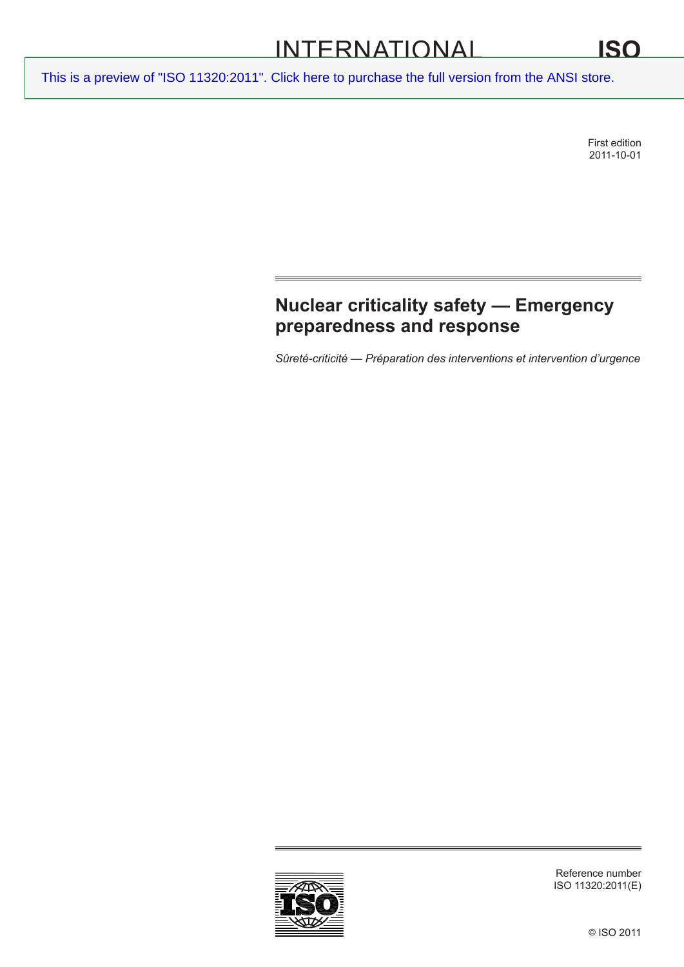# INTERNATIONAL

[This is a preview of "ISO 11320:2011". Click here to purchase the full version from the ANSI store.](http://webstore.ansi.org/RecordDetail.aspx?sku=ISO%2011320:2011&source=preview)

First edition 2011-10-01

## **Nuclear criticality safety — Emergency preparedness and response**

*Sûreté-criticité — Préparation des interventions et intervention d'urgence*



Reference number ISO 11320:2011(E)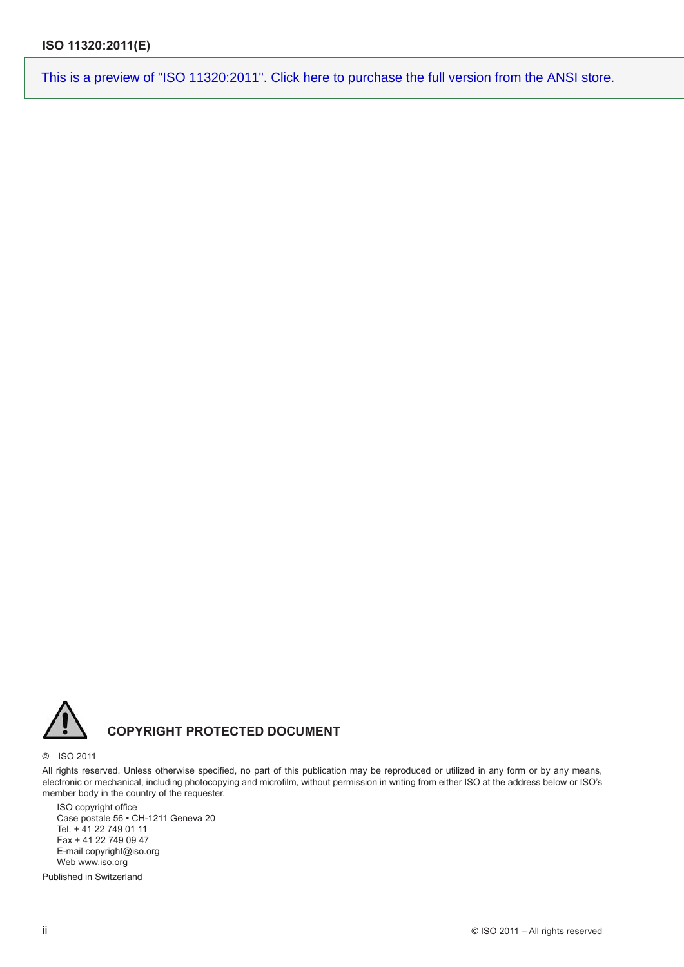

### **COPYRIGHT PROTECTED DOCUMENT**

#### © ISO 2011

All rights reserved. Unless otherwise specified, no part of this publication may be reproduced or utilized in any form or by any means, electronic or mechanical, including photocopying and microfilm, without permission in writing from either ISO at the address below or ISO's member body in the country of the requester.

ISO copyright office Case postale 56 • CH-1211 Geneva 20 Tel. + 41 22 749 01 11 Fax + 41 22 749 09 47 E-mail copyright@iso.org Web www.iso.org

Published in Switzerland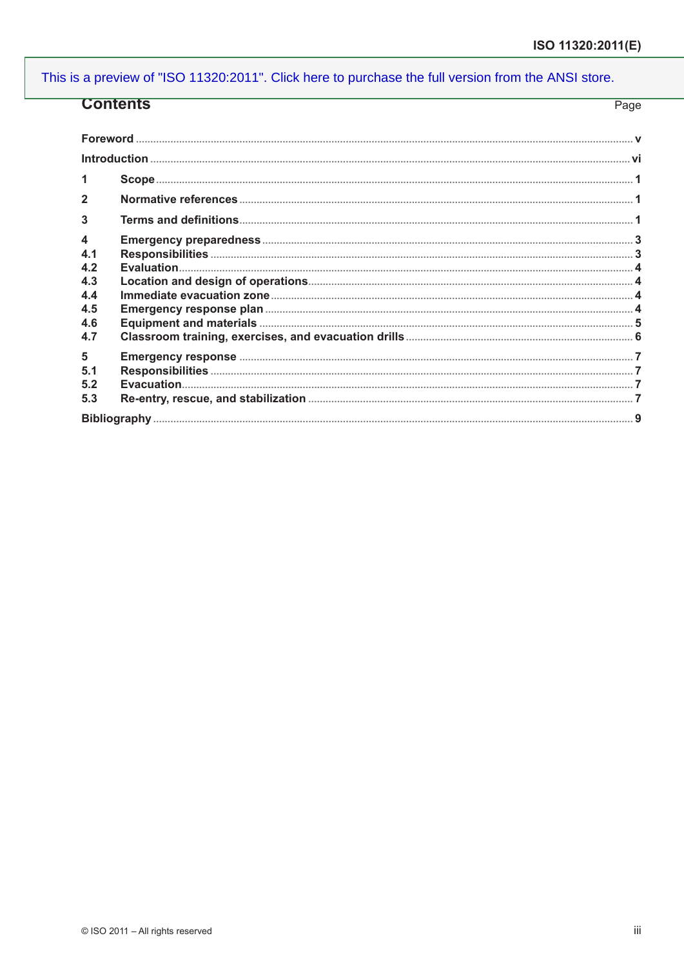| <b>Contents</b>        | Page |
|------------------------|------|
|                        |      |
|                        |      |
|                        |      |
| 2                      |      |
| 3                      |      |
| 4<br>4.1<br>4.2        |      |
| 4.3<br>4.4             |      |
| 4.5<br>4.6<br>4.7      |      |
| 5<br>5.1<br>5.2<br>5.3 |      |
|                        |      |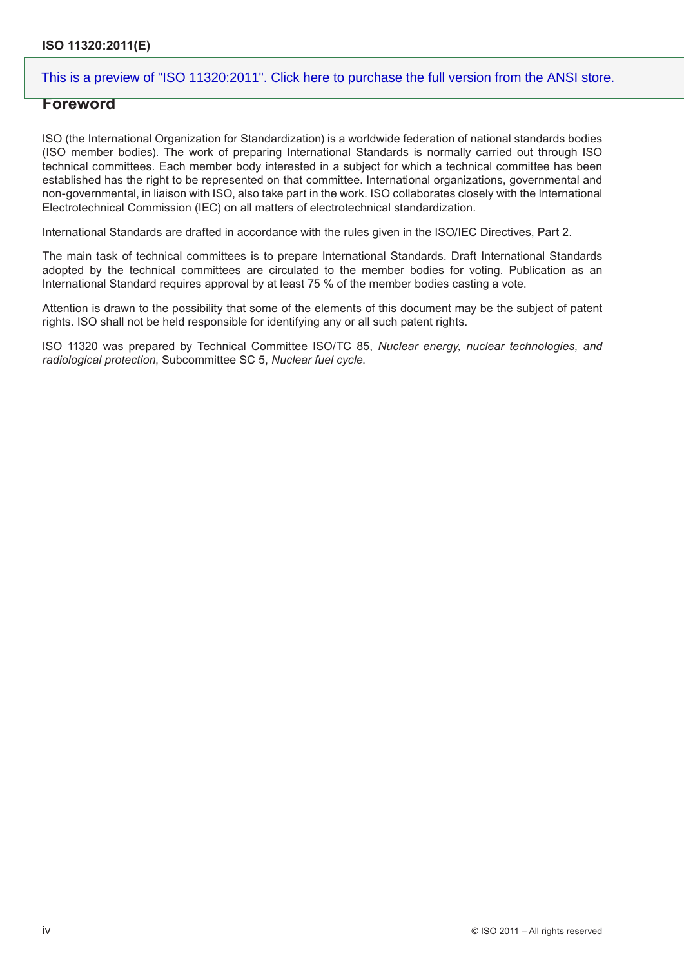#### **Foreword**

ISO (the International Organization for Standardization) is a worldwide federation of national standards bodies (ISO member bodies). The work of preparing International Standards is normally carried out through ISO technical committees. Each member body interested in a subject for which a technical committee has been established has the right to be represented on that committee. International organizations, governmental and non-governmental, in liaison with ISO, also take part in the work. ISO collaborates closely with the International Electrotechnical Commission (IEC) on all matters of electrotechnical standardization.

International Standards are drafted in accordance with the rules given in the ISO/IEC Directives, Part 2.

The main task of technical committees is to prepare International Standards. Draft International Standards adopted by the technical committees are circulated to the member bodies for voting. Publication as an International Standard requires approval by at least 75 % of the member bodies casting a vote.

Attention is drawn to the possibility that some of the elements of this document may be the subject of patent rights. ISO shall not be held responsible for identifying any or all such patent rights.

ISO 11320 was prepared by Technical Committee ISO/TC 85, *Nuclear energy, nuclear technologies, and radiological protection*, Subcommittee SC 5, *Nuclear fuel cycle*.